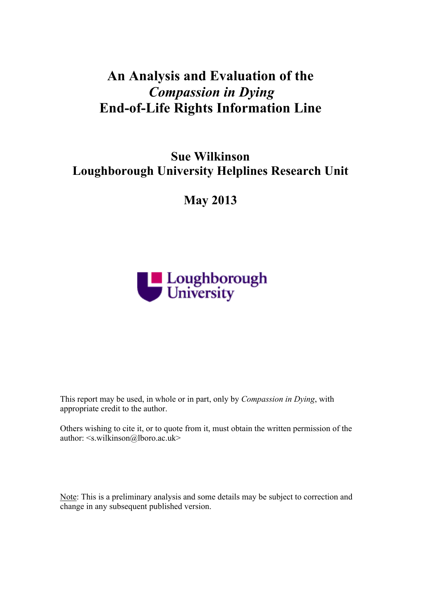# **An Analysis and Evaluation of the** *Compassion in Dying* **End-of-Life Rights Information Line**

# **Sue Wilkinson Loughborough University Helplines Research Unit**

**May 2013**



This report may be used, in whole or in part, only by *Compassion in Dying*, with appropriate credit to the author.

Others wishing to cite it, or to quote from it, must obtain the written permission of the author: <s.wilkinson@lboro.ac.uk>

Note: This is a preliminary analysis and some details may be subject to correction and change in any subsequent published version.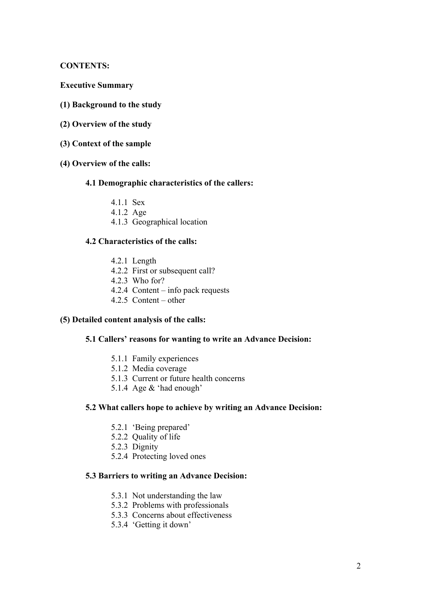**CONTENTS:**

- **Executive Summary**
- **(1) Background to the study**
- **(2) Overview of the study**
- **(3) Context of the sample**
- **(4) Overview of the calls:**
	- **4.1 Demographic characteristics of the callers:**
		- 4.1.1 Sex
		- 4.1.2 Age
		- 4.1.3 Geographical location

#### **4.2 Characteristics of the calls:**

- 4.2.1 Length
- 4.2.2 First or subsequent call?
- 4.2.3 Who for?
- 4.2.4 Content info pack requests
- 4.2.5 Content other

#### **(5) Detailed content analysis of the calls:**

### **5.1 Callers' reasons for wanting to write an Advance Decision:**

- 5.1.1 Family experiences
- 5.1.2 Media coverage
- 5.1.3 Current or future health concerns
- 5.1.4 Age & 'had enough'

#### **5.2 What callers hope to achieve by writing an Advance Decision:**

- 5.2.1 'Being prepared'
- 5.2.2 Quality of life
- 5.2.3 Dignity
- 5.2.4 Protecting loved ones

#### **5.3 Barriers to writing an Advance Decision:**

- 5.3.1 Not understanding the law
- 5.3.2 Problems with professionals
- 5.3.3 Concerns about effectiveness
- 5.3.4 'Getting it down'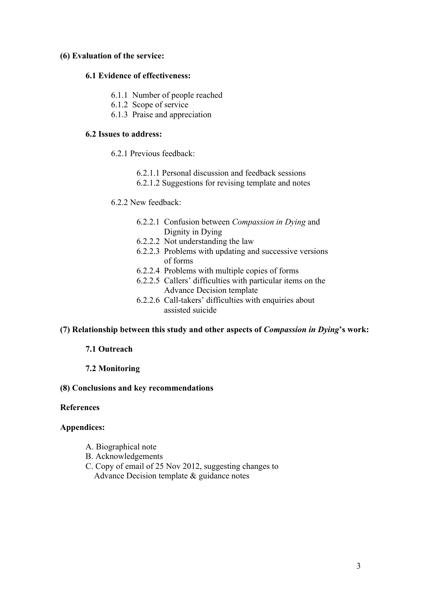### **(6) Evaluation of the service:**

#### **6.1 Evidence of effectiveness:**

- 6.1.1 Number of people reached
- 6.1.2 Scope of service
- 6.1.3 Praise and appreciation

#### **6.2 Issues to address:**

- 6.2.1 Previous feedback:
	- 6.2.1.1 Personal discussion and feedback sessions
	- 6.2.1.2 Suggestions for revising template and notes

#### 6.2.2 New feedback:

- 6.2.2.1 Confusion between *Compassion in Dying* and Dignity in Dying
- 6.2.2.2 Not understanding the law
- 6.2.2.3 Problems with updating and successive versions of forms
- 6.2.2.4 Problems with multiple copies of forms
- 6.2.2.5 Callers' difficulties with particular items on the Advance Decision template
- 6.2.2.6 Call-takers' difficulties with enquiries about assisted suicide

#### **(7) Relationship between this study and other aspects of** *Compassion in Dying***'s work:**

# **7.1 Outreach**

#### **7.2 Monitoring**

#### **(8) Conclusions and key recommendations**

### **References**

#### **Appendices:**

- A. Biographical note
- B. Acknowledgements
- C. Copy of email of 25 Nov 2012, suggesting changes to Advance Decision template & guidance notes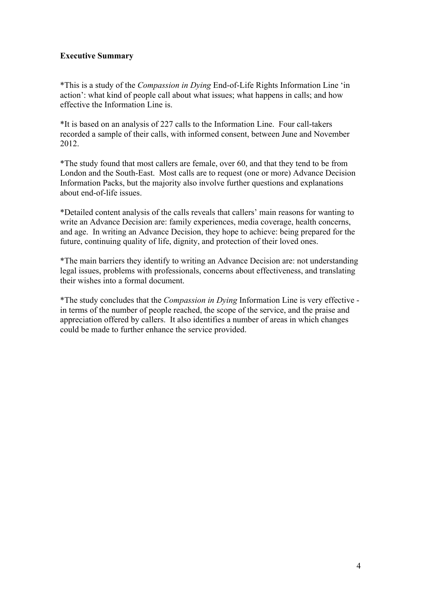# **Executive Summary**

\*This is a study of the *Compassion in Dying* End-of-Life Rights Information Line 'in action': what kind of people call about what issues; what happens in calls; and how effective the Information Line is.

\*It is based on an analysis of 227 calls to the Information Line. Four call-takers recorded a sample of their calls, with informed consent, between June and November 2012.

\*The study found that most callers are female, over 60, and that they tend to be from London and the South-East. Most calls are to request (one or more) Advance Decision Information Packs, but the majority also involve further questions and explanations about end-of-life issues.

\*Detailed content analysis of the calls reveals that callers' main reasons for wanting to write an Advance Decision are: family experiences, media coverage, health concerns, and age. In writing an Advance Decision, they hope to achieve: being prepared for the future, continuing quality of life, dignity, and protection of their loved ones.

\*The main barriers they identify to writing an Advance Decision are: not understanding legal issues, problems with professionals, concerns about effectiveness, and translating their wishes into a formal document.

\*The study concludes that the *Compassion in Dying* Information Line is very effective in terms of the number of people reached, the scope of the service, and the praise and appreciation offered by callers. It also identifies a number of areas in which changes could be made to further enhance the service provided.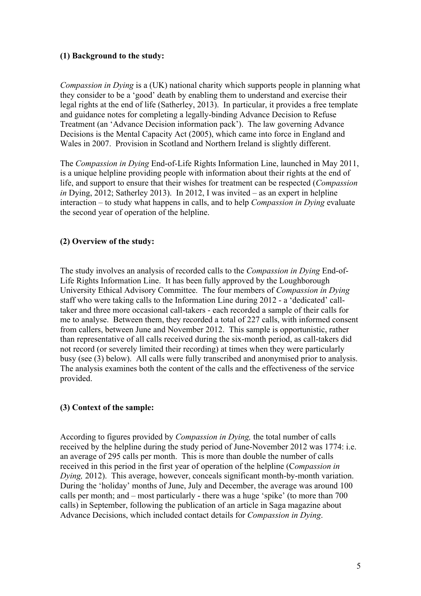# **(1) Background to the study:**

*Compassion in Dying* is a (UK) national charity which supports people in planning what they consider to be a 'good' death by enabling them to understand and exercise their legal rights at the end of life (Satherley, 2013). In particular, it provides a free template and guidance notes for completing a legally-binding Advance Decision to Refuse Treatment (an 'Advance Decision information pack'). The law governing Advance Decisions is the Mental Capacity Act (2005), which came into force in England and Wales in 2007. Provision in Scotland and Northern Ireland is slightly different.

The *Compassion in Dying* End-of-Life Rights Information Line, launched in May 2011, is a unique helpline providing people with information about their rights at the end of life, and support to ensure that their wishes for treatment can be respected (*Compassion in* Dying, 2012; Satherley 2013). In 2012, I was invited – as an expert in helpline interaction – to study what happens in calls, and to help *Compassion in Dying* evaluate the second year of operation of the helpline.

# **(2) Overview of the study:**

The study involves an analysis of recorded calls to the *Compassion in Dying* End-of-Life Rights Information Line. It has been fully approved by the Loughborough University Ethical Advisory Committee. The four members of *Compassion in Dying*  staff who were taking calls to the Information Line during 2012 - a 'dedicated' calltaker and three more occasional call-takers - each recorded a sample of their calls for me to analyse. Between them, they recorded a total of 227 calls, with informed consent from callers, between June and November 2012. This sample is opportunistic, rather than representative of all calls received during the six-month period, as call-takers did not record (or severely limited their recording) at times when they were particularly busy (see (3) below). All calls were fully transcribed and anonymised prior to analysis. The analysis examines both the content of the calls and the effectiveness of the service provided.

# **(3) Context of the sample:**

According to figures provided by *Compassion in Dying,* the total number of calls received by the helpline during the study period of June-November 2012 was 1774: i.e. an average of 295 calls per month. This is more than double the number of calls received in this period in the first year of operation of the helpline (C*ompassion in Dying,* 2012). This average, however, conceals significant month-by-month variation. During the 'holiday' months of June, July and December, the average was around 100 calls per month; and – most particularly - there was a huge 'spike' (to more than 700 calls) in September, following the publication of an article in Saga magazine about Advance Decisions, which included contact details for *Compassion in Dying*.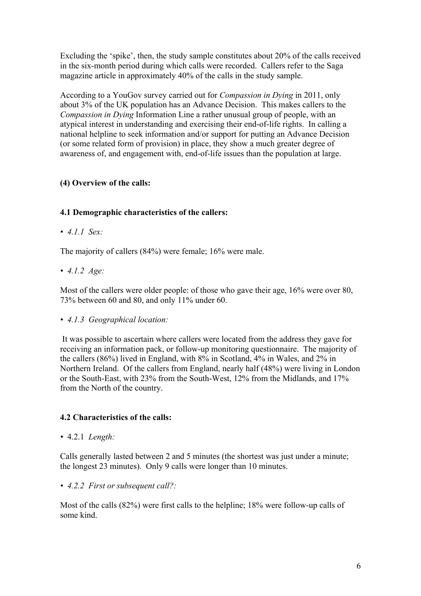Excluding the 'spike', then, the study sample constitutes about 20% of the calls received in the six-month period during which calls were recorded. Callers refer to the Saga magazine article in approximately 40% of the calls in the study sample.

According to a YouGov survey carried out for *Compassion in Dying* in 2011, only about 3% of the UK population has an Advance Decision. This makes callers to the *Compassion in Dying* Information Line a rather unusual group of people, with an atypical interest in understanding and exercising their end-of-life rights. In calling a national helpline to seek information and/or support for putting an Advance Decision (or some related form of provision) in place, they show a much greater degree of awareness of, and engagement with, end-of-life issues than the population at large.

# **(4) Overview of the calls:**

# **4.1 Demographic characteristics of the callers:**

*• 4.1.1 Sex:*

The majority of callers (84%) were female; 16% were male.

*• 4.1.2 Age:*

Most of the callers were older people: of those who gave their age, 16% were over 80, 73% between 60 and 80, and only 11% under 60.

*• 4.1.3 Geographical location:*

It was possible to ascertain where callers were located from the address they gave for receiving an information pack, or follow-up monitoring questionnaire. The majority of the callers (86%) lived in England, with 8% in Scotland, 4% in Wales, and 2% in Northern Ireland. Of the callers from England, nearly half (48%) were living in London or the South-East, with 23% from the South-West, 12% from the Midlands, and 17% from the North of the country.

# **4.2 Characteristics of the calls:**

*•* 4.2.1 *Length:*

Calls generally lasted between 2 and 5 minutes (the shortest was just under a minute; the longest 23 minutes). Only 9 calls were longer than 10 minutes.

*• 4.2.2 First or subsequent call?:* 

Most of the calls (82%) were first calls to the helpline; 18% were follow-up calls of some kind.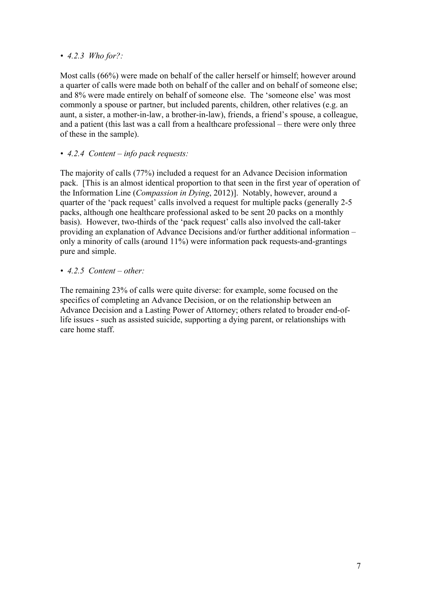# *• 4.2.3 Who for?:*

Most calls (66%) were made on behalf of the caller herself or himself; however around a quarter of calls were made both on behalf of the caller and on behalf of someone else; and 8% were made entirely on behalf of someone else. The 'someone else' was most commonly a spouse or partner, but included parents, children, other relatives (e.g. an aunt, a sister, a mother-in-law, a brother-in-law), friends, a friend's spouse, a colleague, and a patient (this last was a call from a healthcare professional – there were only three of these in the sample).

# *• 4.2.4 Content – info pack requests:*

The majority of calls (77%) included a request for an Advance Decision information pack. [This is an almost identical proportion to that seen in the first year of operation of the Information Line (*Compassion in Dying*, 2012)]. Notably, however, around a quarter of the 'pack request' calls involved a request for multiple packs (generally 2-5 packs, although one healthcare professional asked to be sent 20 packs on a monthly basis). However, two-thirds of the 'pack request' calls also involved the call-taker providing an explanation of Advance Decisions and/or further additional information – only a minority of calls (around 11%) were information pack requests-and-grantings pure and simple.

*• 4.2.5 Content – other:* 

The remaining 23% of calls were quite diverse: for example, some focused on the specifics of completing an Advance Decision, or on the relationship between an Advance Decision and a Lasting Power of Attorney; others related to broader end-oflife issues - such as assisted suicide, supporting a dying parent, or relationships with care home staff.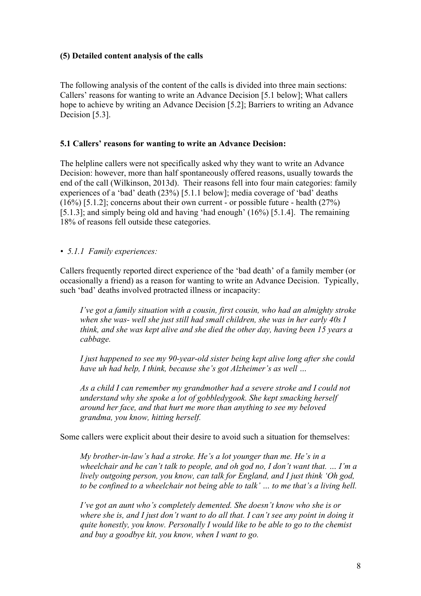## **(5) Detailed content analysis of the calls**

The following analysis of the content of the calls is divided into three main sections: Callers' reasons for wanting to write an Advance Decision [5.1 below]; What callers hope to achieve by writing an Advance Decision [5.2]; Barriers to writing an Advance Decision [5.3].

### **5.1 Callers' reasons for wanting to write an Advance Decision:**

The helpline callers were not specifically asked why they want to write an Advance Decision: however, more than half spontaneously offered reasons, usually towards the end of the call (Wilkinson, 2013d). Their reasons fell into four main categories: family experiences of a 'bad' death (23%) [5.1.1 below]; media coverage of 'bad' deaths (16%) [5.1.2]; concerns about their own current - or possible future - health (27%) [5.1.3]; and simply being old and having 'had enough' (16%) [5.1.4]. The remaining 18% of reasons fell outside these categories.

*• 5.1.1 Family experiences:*

Callers frequently reported direct experience of the 'bad death' of a family member (or occasionally a friend) as a reason for wanting to write an Advance Decision. Typically, such 'bad' deaths involved protracted illness or incapacity:

*I've got a family situation with a cousin, first cousin, who had an almighty stroke when she was- well she just still had small children, she was in her early 40s I think, and she was kept alive and she died the other day, having been 15 years a cabbage.*

*I just happened to see my 90-year-old sister being kept alive long after she could have uh had help, I think, because she's got Alzheimer's as well …*

*As a child I can remember my grandmother had a severe stroke and I could not understand why she spoke a lot of gobbledygook. She kept smacking herself around her face, and that hurt me more than anything to see my beloved grandma, you know, hitting herself.*

Some callers were explicit about their desire to avoid such a situation for themselves:

*My brother-in-law's had a stroke. He's a lot younger than me. He's in a wheelchair and he can't talk to people, and oh god no, I don't want that. … I'm a lively outgoing person, you know, can talk for England, and I just think 'Oh god, to be confined to a wheelchair not being able to talk' … to me that's a living hell.*

*I've got an aunt who's completely demented. She doesn't know who she is or where she is, and I just don't want to do all that. I can't see any point in doing it quite honestly, you know. Personally I would like to be able to go to the chemist and buy a goodbye kit, you know, when I want to go.*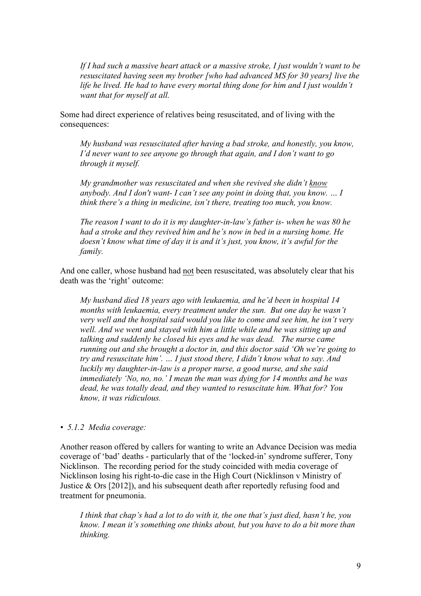*If I had such a massive heart attack or a massive stroke, I just wouldn't want to be resuscitated having seen my brother [who had advanced MS for 30 years] live the life he lived. He had to have every mortal thing done for him and I just wouldn't want that for myself at all.*

Some had direct experience of relatives being resuscitated, and of living with the consequences:

*My husband was resuscitated after having a bad stroke, and honestly, you know, I'd never want to see anyone go through that again, and I don't want to go through it myself.*

*My grandmother was resuscitated and when she revived she didn't know anybody. And I don't want- I can't see any point in doing that, you know. … I think there's a thing in medicine, isn't there, treating too much, you know.*

*The reason I want to do it is my daughter-in-law's father is- when he was 80 he had a stroke and they revived him and he's now in bed in a nursing home. He doesn't know what time of day it is and it's just, you know, it's awful for the family.*

And one caller, whose husband had not been resuscitated, was absolutely clear that his death was the 'right' outcome:

*My husband died 18 years ago with leukaemia, and he'd been in hospital 14 months with leukaemia, every treatment under the sun. But one day he wasn't very well and the hospital said would you like to come and see him, he isn't very well. And we went and stayed with him a little while and he was sitting up and talking and suddenly he closed his eyes and he was dead. The nurse came running out and she brought a doctor in, and this doctor said 'Oh we're going to try and resuscitate him'. … I just stood there, I didn't know what to say. And luckily my daughter-in-law is a proper nurse, a good nurse, and she said immediately 'No, no, no.' I mean the man was dying for 14 months and he was dead, he was totally dead, and they wanted to resuscitate him. What for? You know, it was ridiculous.*

*• 5.1.2 Media coverage:*

Another reason offered by callers for wanting to write an Advance Decision was media coverage of 'bad' deaths - particularly that of the 'locked-in' syndrome sufferer, Tony Nicklinson. The recording period for the study coincided with media coverage of Nicklinson losing his right-to-die case in the High Court (Nicklinson v Ministry of Justice  $\&$  Ors [2012]), and his subsequent death after reportedly refusing food and treatment for pneumonia.

*I think that chap's had a lot to do with it, the one that's just died, hasn't he, you know. I mean it's something one thinks about, but you have to do a bit more than thinking.*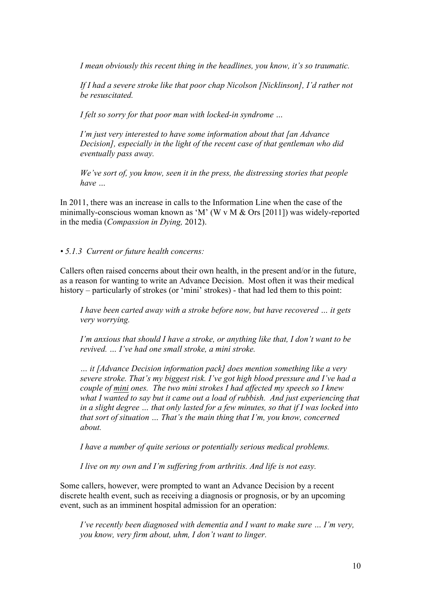*I mean obviously this recent thing in the headlines, you know, it's so traumatic.*

*If I had a severe stroke like that poor chap Nicolson [Nicklinson], I'd rather not be resuscitated.*

*I felt so sorry for that poor man with locked-in syndrome …*

*I'm just very interested to have some information about that [an Advance Decision], especially in the light of the recent case of that gentleman who did eventually pass away.*

*We've sort of, you know, seen it in the press, the distressing stories that people have …*

In 2011, there was an increase in calls to the Information Line when the case of the minimally-conscious woman known as 'M' (W v M  $&$  Ors [2011]) was widely-reported in the media (*Compassion in Dying,* 2012).

*• 5.1.3 Current or future health concerns:*

Callers often raised concerns about their own health, in the present and/or in the future, as a reason for wanting to write an Advance Decision. Most often it was their medical history – particularly of strokes (or 'mini' strokes) - that had led them to this point:

*I have been carted away with a stroke before now, but have recovered … it gets very worrying.*

*I'm anxious that should I have a stroke, or anything like that, I don't want to be revived. … I've had one small stroke, a mini stroke.*

*… it [Advance Decision information pack] does mention something like a very severe stroke. That's my biggest risk. I've got high blood pressure and I've had a couple of mini ones. The two mini strokes I had affected my speech so I knew*  what I wanted to say but it came out a load of rubbish. And just experiencing that *in a slight degree … that only lasted for a few minutes, so that if I was locked into that sort of situation … That's the main thing that I'm, you know, concerned about.*

*I have a number of quite serious or potentially serious medical problems.* 

*I live on my own and I'm suffering from arthritis. And life is not easy.*

Some callers, however, were prompted to want an Advance Decision by a recent discrete health event, such as receiving a diagnosis or prognosis, or by an upcoming event, such as an imminent hospital admission for an operation:

*I've recently been diagnosed with dementia and I want to make sure … I'm very, you know, very firm about, uhm, I don't want to linger.*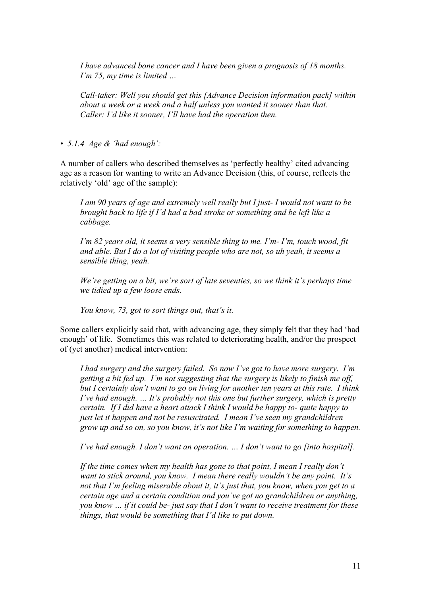*I have advanced bone cancer and I have been given a prognosis of 18 months. I'm 75, my time is limited …*

*Call-taker: Well you should get this [Advance Decision information pack] within about a week or a week and a half unless you wanted it sooner than that. Caller: I'd like it sooner, I'll have had the operation then.*

*• 5.1.4 Age & 'had enough':*

A number of callers who described themselves as 'perfectly healthy' cited advancing age as a reason for wanting to write an Advance Decision (this, of course, reflects the relatively 'old' age of the sample):

*I am 90 years of age and extremely well really but I just- I would not want to be brought back to life if I'd had a bad stroke or something and be left like a cabbage.*

*I'm 82 years old, it seems a very sensible thing to me. I'm- I'm, touch wood, fit and able. But I do a lot of visiting people who are not, so uh yeah, it seems a sensible thing, yeah.*

*We're getting on a bit, we're sort of late seventies, so we think it's perhaps time we tidied up a few loose ends.*

*You know, 73, got to sort things out, that's it.*

Some callers explicitly said that, with advancing age, they simply felt that they had 'had enough' of life. Sometimes this was related to deteriorating health, and/or the prospect of (yet another) medical intervention:

*I had surgery and the surgery failed. So now I've got to have more surgery. I'm getting a bit fed up. I'm not suggesting that the surgery is likely to finish me off, but I certainly don't want to go on living for another ten years at this rate. I think I've had enough. … It's probably not this one but further surgery, which is pretty certain. If I did have a heart attack I think I would be happy to- quite happy to just let it happen and not be resuscitated. I mean I've seen my grandchildren grow up and so on, so you know, it's not like I'm waiting for something to happen.*

*I've had enough. I don't want an operation. … I don't want to go [into hospital].*

*If the time comes when my health has gone to that point, I mean I really don't want to stick around, you know. I mean there really wouldn't be any point. It's not that I'm feeling miserable about it, it's just that, you know, when you get to a certain age and a certain condition and you've got no grandchildren or anything, you know … if it could be- just say that I don't want to receive treatment for these things, that would be something that I'd like to put down.*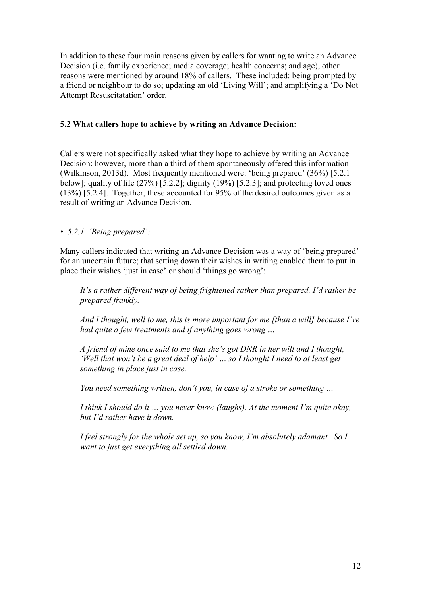In addition to these four main reasons given by callers for wanting to write an Advance Decision (i.e. family experience; media coverage; health concerns; and age), other reasons were mentioned by around 18% of callers. These included: being prompted by a friend or neighbour to do so; updating an old 'Living Will'; and amplifying a 'Do Not Attempt Resuscitatation' order.

# **5.2 What callers hope to achieve by writing an Advance Decision:**

Callers were not specifically asked what they hope to achieve by writing an Advance Decision: however, more than a third of them spontaneously offered this information (Wilkinson, 2013d). Most frequently mentioned were: 'being prepared' (36%) [5.2.1 below]; quality of life  $(27\%)$  [5.2.2]; dignity  $(19\%)$  [5.2.3]; and protecting loved ones (13%) [5.2.4]. Together, these accounted for 95% of the desired outcomes given as a result of writing an Advance Decision.

# *• 5.2.1 'Being prepared':*

Many callers indicated that writing an Advance Decision was a way of 'being prepared' for an uncertain future; that setting down their wishes in writing enabled them to put in place their wishes 'just in case' or should 'things go wrong':

*It's a rather different way of being frightened rather than prepared. I'd rather be prepared frankly.*

*And I thought, well to me, this is more important for me [than a will] because I've had quite a few treatments and if anything goes wrong …*

*A friend of mine once said to me that she's got DNR in her will and I thought, 'Well that won't be a great deal of help' … so I thought I need to at least get something in place just in case.*

*You need something written, don't you, in case of a stroke or something …* 

*I think I should do it … you never know (laughs). At the moment I'm quite okay, but I'd rather have it down.*

*I feel strongly for the whole set up, so you know, I'm absolutely adamant. So I want to just get everything all settled down.*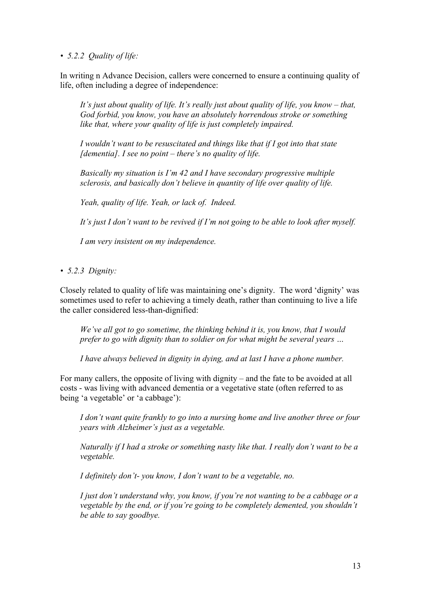*• 5.2.2 Quality of life:*

In writing n Advance Decision, callers were concerned to ensure a continuing quality of life, often including a degree of independence:

*It's just about quality of life. It's really just about quality of life, you know – that, God forbid, you know, you have an absolutely horrendous stroke or something like that, where your quality of life is just completely impaired.*

*I wouldn't want to be resuscitated and things like that if I got into that state [dementia]. I see no point – there's no quality of life.*

*Basically my situation is I'm 42 and I have secondary progressive multiple sclerosis, and basically don't believe in quantity of life over quality of life.*

*Yeah, quality of life. Yeah, or lack of. Indeed.*

*It's just I don't want to be revived if I'm not going to be able to look after myself.*

*I am very insistent on my independence.*

*• 5.2.3 Dignity:*

Closely related to quality of life was maintaining one's dignity. The word 'dignity' was sometimes used to refer to achieving a timely death, rather than continuing to live a life the caller considered less-than-dignified:

*We've all got to go sometime, the thinking behind it is, you know, that I would prefer to go with dignity than to soldier on for what might be several years …*

*I have always believed in dignity in dying, and at last I have a phone number.*

For many callers, the opposite of living with dignity – and the fate to be avoided at all costs - was living with advanced dementia or a vegetative state (often referred to as being 'a vegetable' or 'a cabbage'):

*I don't want quite frankly to go into a nursing home and live another three or four years with Alzheimer's just as a vegetable.*

*Naturally if I had a stroke or something nasty like that. I really don't want to be a vegetable.*

*I definitely don't- you know, I don't want to be a vegetable, no.*

*I just don't understand why, you know, if you're not wanting to be a cabbage or a vegetable by the end, or if you're going to be completely demented, you shouldn't be able to say goodbye.*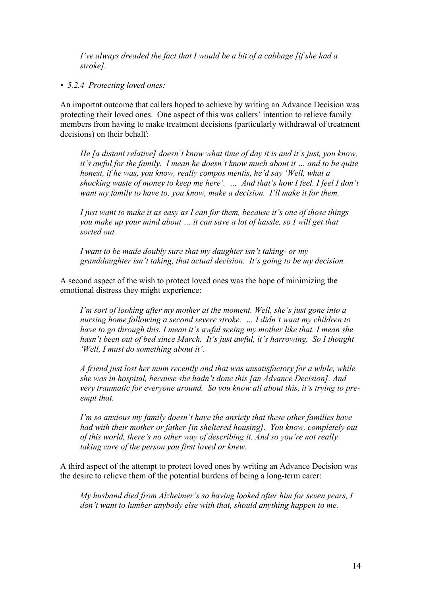*I've always dreaded the fact that I would be a bit of a cabbage [if she had a stroke].*

*• 5.2.4 Protecting loved ones:*

An importnt outcome that callers hoped to achieve by writing an Advance Decision was protecting their loved ones. One aspect of this was callers' intention to relieve family members from having to make treatment decisions (particularly withdrawal of treatment decisions) on their behalf:

*He [a distant relative] doesn't know what time of day it is and it's just, you know, it's awful for the family. I mean he doesn't know much about it … and to be quite honest, if he was, you know, really compos mentis, he'd say 'Well, what a shocking waste of money to keep me here'. … And that's how I feel. I feel I don't want my family to have to, you know, make a decision. I'll make it for them.*

*I just want to make it as easy as I can for them, because it's one of those things you make up your mind about … it can save a lot of hassle, so I will get that sorted out.*

*I want to be made doubly sure that my daughter isn't taking- or my granddaughter isn't taking, that actual decision. It's going to be my decision.*

A second aspect of the wish to protect loved ones was the hope of minimizing the emotional distress they might experience:

*I'm sort of looking after my mother at the moment. Well, she's just gone into a nursing home following a second severe stroke. … I didn't want my children to have to go through this. I mean it's awful seeing my mother like that. I mean she hasn't been out of bed since March. It's just awful, it's harrowing. So I thought 'Well, I must do something about it'.*

*A friend just lost her mum recently and that was unsatisfactory for a while, while she was in hospital, because she hadn't done this [an Advance Decision]. And very traumatic for everyone around. So you know all about this, it's trying to preempt that.*

*I'm so anxious my family doesn't have the anxiety that these other families have had with their mother or father [in sheltered housing]. You know, completely out of this world, there's no other way of describing it. And so you're not really taking care of the person you first loved or knew.*

A third aspect of the attempt to protect loved ones by writing an Advance Decision was the desire to relieve them of the potential burdens of being a long-term carer:

*My husband died from Alzheimer's so having looked after him for seven years, I don't want to lumber anybody else with that, should anything happen to me.*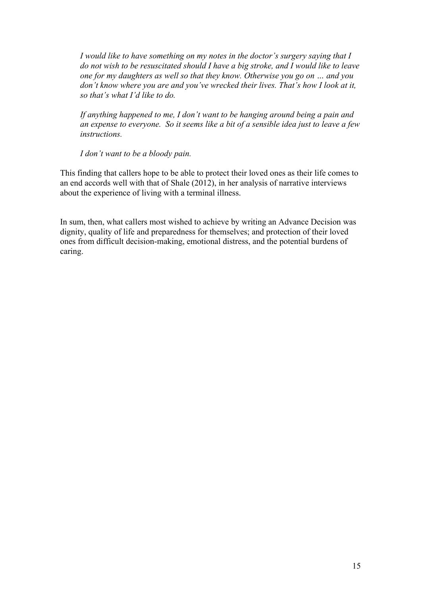*I would like to have something on my notes in the doctor's surgery saying that I do not wish to be resuscitated should I have a big stroke, and I would like to leave one for my daughters as well so that they know. Otherwise you go on … and you don't know where you are and you've wrecked their lives. That's how I look at it, so that's what I'd like to do.*

*If anything happened to me, I don't want to be hanging around being a pain and an expense to everyone. So it seems like a bit of a sensible idea just to leave a few instructions.*

*I don't want to be a bloody pain.*

This finding that callers hope to be able to protect their loved ones as their life comes to an end accords well with that of Shale (2012), in her analysis of narrative interviews about the experience of living with a terminal illness.

In sum, then, what callers most wished to achieve by writing an Advance Decision was dignity, quality of life and preparedness for themselves; and protection of their loved ones from difficult decision-making, emotional distress, and the potential burdens of caring.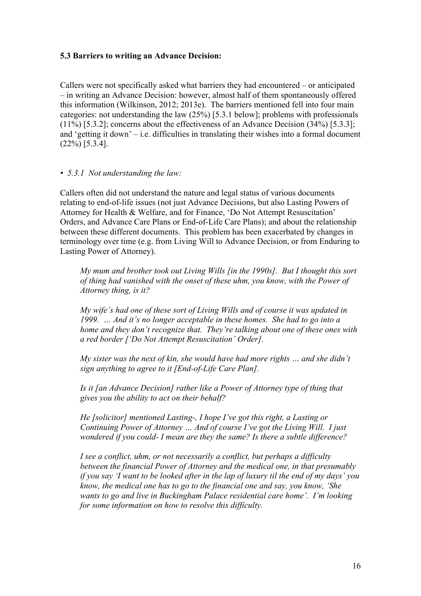#### **5.3 Barriers to writing an Advance Decision:**

Callers were not specifically asked what barriers they had encountered – or anticipated – in writing an Advance Decision: however, almost half of them spontaneously offered this information (Wilkinson, 2012; 2013e). The barriers mentioned fell into four main categories: not understanding the law (25%) [5.3.1 below]; problems with professionals (11%) [5.3.2]; concerns about the effectiveness of an Advance Decision (34%) [5.3.3]; and 'getting it down' – i.e. difficulties in translating their wishes into a formal document (22%) [5.3.4].

#### *• 5.3.1 Not understanding the law:*

Callers often did not understand the nature and legal status of various documents relating to end-of-life issues (not just Advance Decisions, but also Lasting Powers of Attorney for Health & Welfare, and for Finance, 'Do Not Attempt Resuscitation' Orders, and Advance Care Plans or End-of-Life Care Plans); and about the relationship between these different documents. This problem has been exacerbated by changes in terminology over time (e.g. from Living Will to Advance Decision, or from Enduring to Lasting Power of Attorney).

*My mum and brother took out Living Wills [in the 1990s]. But I thought this sort of thing had vanished with the onset of these uhm, you know, with the Power of Attorney thing, is it?* 

*My wife's had one of these sort of Living Wills and of course it was updated in 1999. … And it's no longer acceptable in these homes. She had to go into a home and they don't recognize that. They're talking about one of these ones with a red border ['Do Not Attempt Resuscitation' Order].*

*My sister was the next of kin, she would have had more rights … and she didn't sign anything to agree to it [End-of-Life Care Plan].*

*Is it [an Advance Decision] rather like a Power of Attorney type of thing that gives you the ability to act on their behalf?*

*He [solicitor] mentioned Lasting-, I hope I've got this right, a Lasting or Continuing Power of Attorney … And of course I've got the Living Will. I just wondered if you could- I mean are they the same? Is there a subtle difference?* 

*I see a conflict, uhm, or not necessarily a conflict, but perhaps a difficulty between the financial Power of Attorney and the medical one, in that presumably if you say 'I want to be looked after in the lap of luxury til the end of my days' you know, the medical one has to go to the financial one and say, you know, 'She wants to go and live in Buckingham Palace residential care home'. I'm looking for some information on how to resolve this difficulty.*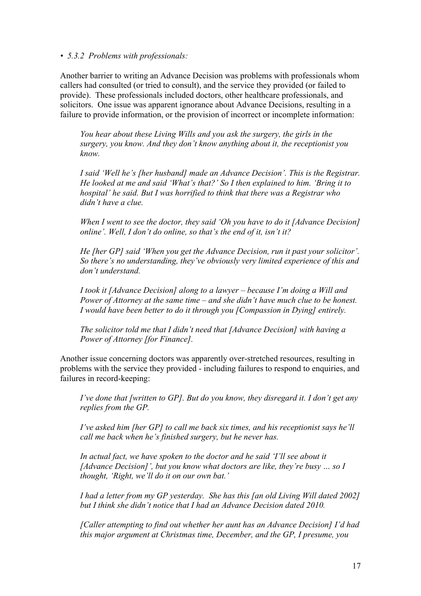#### *• 5.3.2 Problems with professionals:*

Another barrier to writing an Advance Decision was problems with professionals whom callers had consulted (or tried to consult), and the service they provided (or failed to provide). These professionals included doctors, other healthcare professionals, and solicitors. One issue was apparent ignorance about Advance Decisions, resulting in a failure to provide information, or the provision of incorrect or incomplete information:

*You hear about these Living Wills and you ask the surgery, the girls in the surgery, you know. And they don't know anything about it, the receptionist you know.*

*I said 'Well he's [her husband] made an Advance Decision'. This is the Registrar. He looked at me and said 'What's that?' So I then explained to him. 'Bring it to hospital' he said. But I was horrified to think that there was a Registrar who didn't have a clue.*

*When I went to see the doctor, they said 'Oh you have to do it [Advance Decision] online'. Well, I don't do online, so that's the end of it, isn't it?*

*He [her GP] said 'When you get the Advance Decision, run it past your solicitor'. So there's no understanding, they've obviously very limited experience of this and don't understand.*

*I took it [Advance Decision] along to a lawyer – because I'm doing a Will and Power of Attorney at the same time – and she didn't have much clue to be honest. I would have been better to do it through you [Compassion in Dying] entirely.*

*The solicitor told me that I didn't need that [Advance Decision] with having a Power of Attorney [for Finance].*

Another issue concerning doctors was apparently over-stretched resources, resulting in problems with the service they provided - including failures to respond to enquiries, and failures in record-keeping:

*I've done that [written to GP]. But do you know, they disregard it. I don't get any replies from the GP.*

*I've asked him [her GP] to call me back six times, and his receptionist says he'll call me back when he's finished surgery, but he never has.*

*In actual fact, we have spoken to the doctor and he said 'I'll see about it [Advance Decision]', but you know what doctors are like, they're busy … so I thought, 'Right, we'll do it on our own bat.'*

*I had a letter from my GP yesterday. She has this [an old Living Will dated 2002] but I think she didn't notice that I had an Advance Decision dated 2010.*

*[Caller attempting to find out whether her aunt has an Advance Decision] I'd had this major argument at Christmas time, December, and the GP, I presume, you*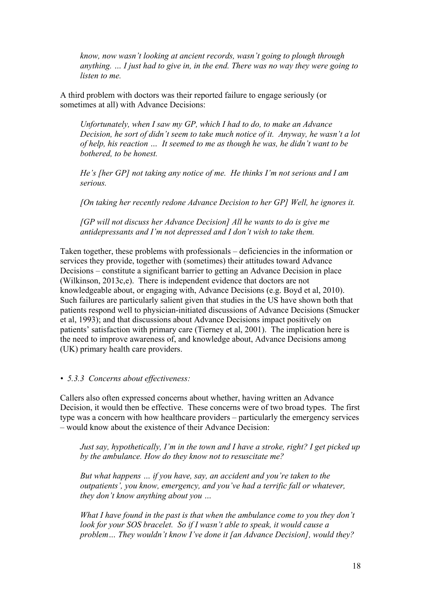*know, now wasn't looking at ancient records, wasn't going to plough through anything. … I just had to give in, in the end. There was no way they were going to listen to me.*

A third problem with doctors was their reported failure to engage seriously (or sometimes at all) with Advance Decisions:

*Unfortunately, when I saw my GP, which I had to do, to make an Advance Decision, he sort of didn't seem to take much notice of it. Anyway, he wasn't a lot of help, his reaction … It seemed to me as though he was, he didn't want to be bothered, to be honest.*

*He's [her GP] not taking any notice of me. He thinks I'm not serious and I am serious.*

*[On taking her recently redone Advance Decision to her GP] Well, he ignores it.* 

*[GP will not discuss her Advance Decision] All he wants to do is give me antidepressants and I'm not depressed and I don't wish to take them.*

Taken together, these problems with professionals – deficiencies in the information or services they provide, together with (sometimes) their attitudes toward Advance Decisions – constitute a significant barrier to getting an Advance Decision in place (Wilkinson, 2013c,e). There is independent evidence that doctors are not knowledgeable about, or engaging with, Advance Decisions (e.g. Boyd et al, 2010). Such failures are particularly salient given that studies in the US have shown both that patients respond well to physician-initiated discussions of Advance Decisions (Smucker et al, 1993); and that discussions about Advance Decisions impact positively on patients' satisfaction with primary care (Tierney et al, 2001). The implication here is the need to improve awareness of, and knowledge about, Advance Decisions among (UK) primary health care providers.

#### *• 5.3.3 Concerns about effectiveness:*

Callers also often expressed concerns about whether, having written an Advance Decision, it would then be effective. These concerns were of two broad types. The first type was a concern with how healthcare providers – particularly the emergency services – would know about the existence of their Advance Decision:

*Just say, hypothetically, I'm in the town and I have a stroke, right? I get picked up by the ambulance. How do they know not to resuscitate me?*

*But what happens … if you have, say, an accident and you're taken to the outpatients', you know, emergency, and you've had a terrific fall or whatever, they don't know anything about you …*

*What I have found in the past is that when the ambulance come to you they don't look for your SOS bracelet. So if I wasn't able to speak, it would cause a problem… They wouldn't know I've done it [an Advance Decision], would they?*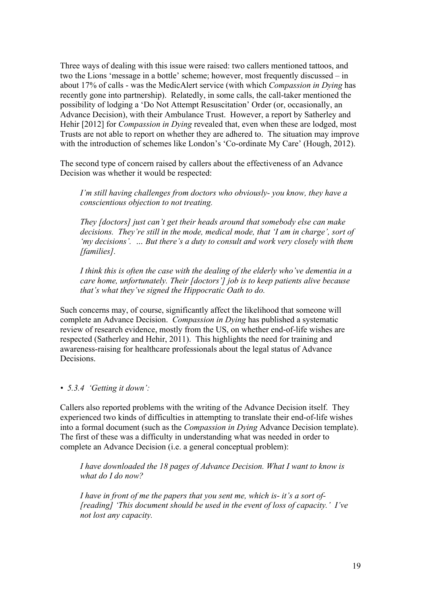Three ways of dealing with this issue were raised: two callers mentioned tattoos, and two the Lions 'message in a bottle' scheme; however, most frequently discussed – in about 17% of calls - was the MedicAlert service (with which *Compassion in Dying* has recently gone into partnership). Relatedly, in some calls, the call-taker mentioned the possibility of lodging a 'Do Not Attempt Resuscitation' Order (or, occasionally, an Advance Decision), with their Ambulance Trust. However, a report by Satherley and Hehir [2012] for *Compassion in Dying* revealed that, even when these are lodged, most Trusts are not able to report on whether they are adhered to. The situation may improve with the introduction of schemes like London's 'Co-ordinate My Care' (Hough, 2012).

The second type of concern raised by callers about the effectiveness of an Advance Decision was whether it would be respected:

*I'm still having challenges from doctors who obviously- you know, they have a conscientious objection to not treating.*

*They [doctors] just can't get their heads around that somebody else can make decisions. They're still in the mode, medical mode, that 'I am in charge', sort of 'my decisions'. … But there's a duty to consult and work very closely with them [families].*

*I think this is often the case with the dealing of the elderly who've dementia in a care home, unfortunately. Their [doctors'] job is to keep patients alive because that's what they've signed the Hippocratic Oath to do.*

Such concerns may, of course, significantly affect the likelihood that someone will complete an Advance Decision. *Compassion in Dying* has published a systematic review of research evidence, mostly from the US, on whether end-of-life wishes are respected (Satherley and Hehir, 2011). This highlights the need for training and awareness-raising for healthcare professionals about the legal status of Advance **Decisions** 

#### *• 5.3.4 'Getting it down':*

Callers also reported problems with the writing of the Advance Decision itself. They experienced two kinds of difficulties in attempting to translate their end-of-life wishes into a formal document (such as the *Compassion in Dying* Advance Decision template). The first of these was a difficulty in understanding what was needed in order to complete an Advance Decision (i.e. a general conceptual problem):

*I have downloaded the 18 pages of Advance Decision. What I want to know is what do I do now?*

*I have in front of me the papers that you sent me, which is- it's a sort of- [reading] 'This document should be used in the event of loss of capacity.' I've not lost any capacity.*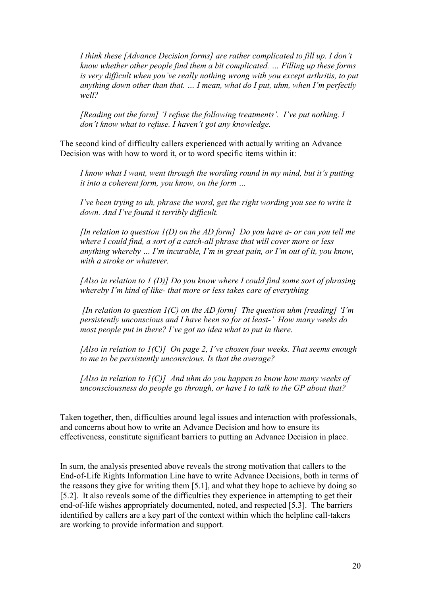*I think these [Advance Decision forms] are rather complicated to fill up. I don't know whether other people find them a bit complicated. … Filling up these forms is very difficult when you've really nothing wrong with you except arthritis, to put anything down other than that. … I mean, what do I put, uhm, when I'm perfectly well?*

*[Reading out the form] 'I refuse the following treatments'. I've put nothing. I don't know what to refuse. I haven't got any knowledge.*

The second kind of difficulty callers experienced with actually writing an Advance Decision was with how to word it, or to word specific items within it:

*I know what I want, went through the wording round in my mind, but it's putting it into a coherent form, you know, on the form …*

*I've been trying to uh, phrase the word, get the right wording you see to write it down. And I've found it terribly difficult.*

*[In relation to question 1(D) on the AD form] Do you have a- or can you tell me where I could find, a sort of a catch-all phrase that will cover more or less anything whereby … I'm incurable, I'm in great pain, or I'm out of it, you know, with a stroke or whatever.*

*[Also in relation to 1 (D)] Do you know where I could find some sort of phrasing whereby I'm kind of like- that more or less takes care of everything*

*[In relation to question 1(C) on the AD form] The question uhm [reading] 'I'm persistently unconscious and I have been so for at least-' How many weeks do most people put in there? I've got no idea what to put in there.*

*[Also in relation to 1(C)] On page 2, I've chosen four weeks. That seems enough to me to be persistently unconscious. Is that the average?*

*[Also in relation to 1(C)] And uhm do you happen to know how many weeks of unconsciousness do people go through, or have I to talk to the GP about that?*

Taken together, then, difficulties around legal issues and interaction with professionals, and concerns about how to write an Advance Decision and how to ensure its effectiveness, constitute significant barriers to putting an Advance Decision in place.

In sum, the analysis presented above reveals the strong motivation that callers to the End-of-Life Rights Information Line have to write Advance Decisions, both in terms of the reasons they give for writing them [5.1], and what they hope to achieve by doing so [5.2]. It also reveals some of the difficulties they experience in attempting to get their end-of-life wishes appropriately documented, noted, and respected [5.3]. The barriers identified by callers are a key part of the context within which the helpline call-takers are working to provide information and support.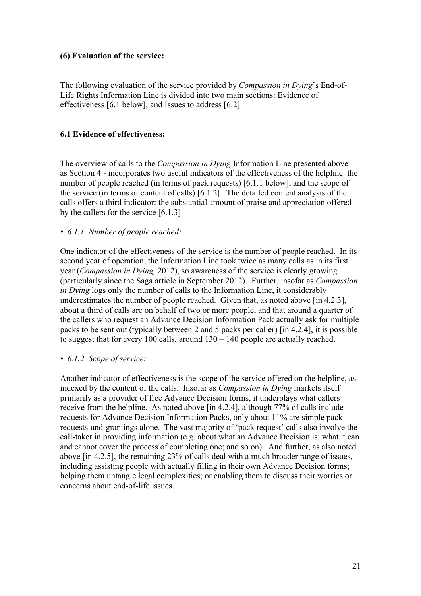## **(6) Evaluation of the service:**

The following evaluation of the service provided by *Compassion in Dying*'s End-of-Life Rights Information Line is divided into two main sections: Evidence of effectiveness [6.1 below]; and Issues to address [6.2].

## **6.1 Evidence of effectiveness:**

The overview of calls to the *Compassion in Dying* Information Line presented above as Section 4 - incorporates two useful indicators of the effectiveness of the helpline: the number of people reached (in terms of pack requests) [6.1.1 below]; and the scope of the service (in terms of content of calls) [6.1.2]. The detailed content analysis of the calls offers a third indicator: the substantial amount of praise and appreciation offered by the callers for the service [6.1.3].

### *• 6.1.1 Number of people reached:*

One indicator of the effectiveness of the service is the number of people reached. In its second year of operation, the Information Line took twice as many calls as in its first year (*Compassion in Dying,* 2012), so awareness of the service is clearly growing (particularly since the Saga article in September 2012). Further, insofar as *Compassion in Dying* logs only the number of calls to the Information Line, it considerably underestimates the number of people reached. Given that, as noted above [in 4.2.3], about a third of calls are on behalf of two or more people, and that around a quarter of the callers who request an Advance Decision Information Pack actually ask for multiple packs to be sent out (typically between 2 and 5 packs per caller) [in 4.2.4], it is possible to suggest that for every 100 calls, around 130 – 140 people are actually reached.

#### *• 6.1.2 Scope of service:*

Another indicator of effectiveness is the scope of the service offered on the helpline, as indexed by the content of the calls. Insofar as *Compassion in Dying* markets itself primarily as a provider of free Advance Decision forms, it underplays what callers receive from the helpline. As noted above [in 4.2.4], although 77% of calls include requests for Advance Decision Information Packs, only about 11% are simple pack requests-and-grantings alone. The vast majority of 'pack request' calls also involve the call-taker in providing information (e.g. about what an Advance Decision is; what it can and cannot cover the process of completing one; and so on). And further, as also noted above [in 4.2.5], the remaining 23% of calls deal with a much broader range of issues, including assisting people with actually filling in their own Advance Decision forms; helping them untangle legal complexities; or enabling them to discuss their worries or concerns about end-of-life issues.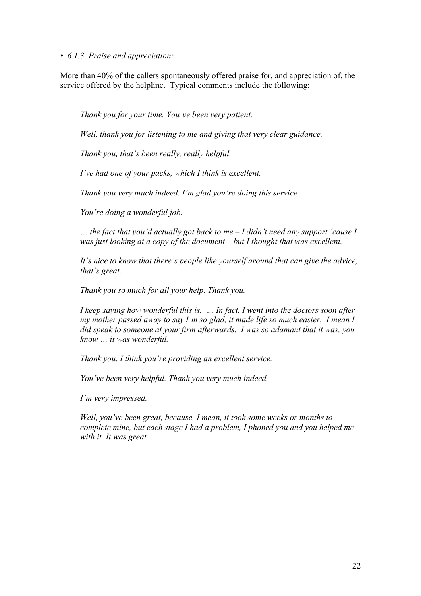*• 6.1.3 Praise and appreciation:*

More than 40% of the callers spontaneously offered praise for, and appreciation of, the service offered by the helpline. Typical comments include the following:

*Thank you for your time. You've been very patient.*

*Well, thank you for listening to me and giving that very clear guidance.*

*Thank you, that's been really, really helpful.*

*I've had one of your packs, which I think is excellent.*

*Thank you very much indeed. I'm glad you're doing this service.*

*You're doing a wonderful job.*

*… the fact that you'd actually got back to me – I didn't need any support 'cause I was just looking at a copy of the document – but I thought that was excellent.*

*It's nice to know that there's people like yourself around that can give the advice, that's great.*

*Thank you so much for all your help. Thank you.*

*I keep saying how wonderful this is. … In fact, I went into the doctors soon after my mother passed away to say I'm so glad, it made life so much easier. I mean I did speak to someone at your firm afterwards. I was so adamant that it was, you know … it was wonderful.* 

*Thank you. I think you're providing an excellent service.*

*You've been very helpful. Thank you very much indeed.*

*I'm very impressed.*

*Well, you've been great, because, I mean, it took some weeks or months to complete mine, but each stage I had a problem, I phoned you and you helped me with it. It was great.*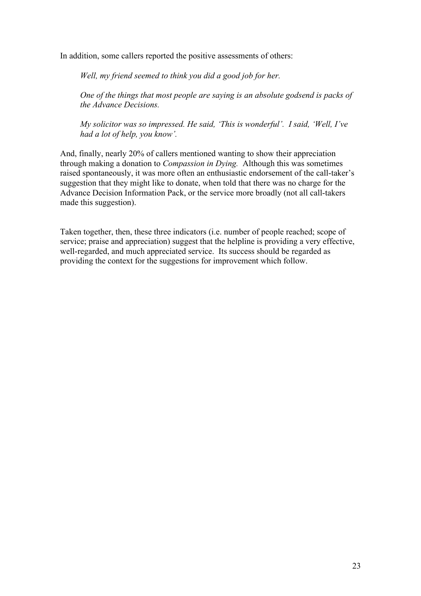In addition, some callers reported the positive assessments of others:

*Well, my friend seemed to think you did a good job for her.*

*One of the things that most people are saying is an absolute godsend is packs of the Advance Decisions.*

*My solicitor was so impressed. He said, 'This is wonderful'. I said, 'Well, I've had a lot of help, you know'.* 

And, finally, nearly 20% of callers mentioned wanting to show their appreciation through making a donation to *Compassion in Dying.* Although this was sometimes raised spontaneously, it was more often an enthusiastic endorsement of the call-taker's suggestion that they might like to donate, when told that there was no charge for the Advance Decision Information Pack, or the service more broadly (not all call-takers made this suggestion).

Taken together, then, these three indicators (i.e. number of people reached; scope of service; praise and appreciation) suggest that the helpline is providing a very effective, well-regarded, and much appreciated service. Its success should be regarded as providing the context for the suggestions for improvement which follow.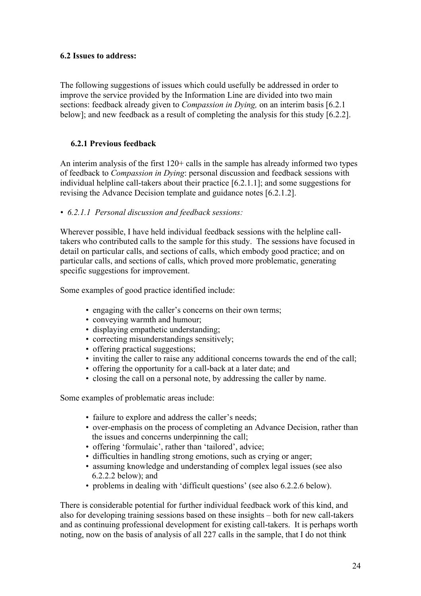## **6.2 Issues to address:**

The following suggestions of issues which could usefully be addressed in order to improve the service provided by the Information Line are divided into two main sections: feedback already given to *Compassion in Dying,* on an interim basis [6.2.1 below]; and new feedback as a result of completing the analysis for this study [6.2.2].

# **6.2.1 Previous feedback**

An interim analysis of the first 120+ calls in the sample has already informed two types of feedback to *Compassion in Dying*: personal discussion and feedback sessions with individual helpline call-takers about their practice [6.2.1.1]; and some suggestions for revising the Advance Decision template and guidance notes [6.2.1.2].

*• 6.2.1.1 Personal discussion and feedback sessions:*

Wherever possible, I have held individual feedback sessions with the helpline calltakers who contributed calls to the sample for this study. The sessions have focused in detail on particular calls, and sections of calls, which embody good practice; and on particular calls, and sections of calls, which proved more problematic, generating specific suggestions for improvement.

Some examples of good practice identified include:

- engaging with the caller's concerns on their own terms;
- conveying warmth and humour;
- displaying empathetic understanding;
- correcting misunderstandings sensitively;
- offering practical suggestions;
- inviting the caller to raise any additional concerns towards the end of the call;
- offering the opportunity for a call-back at a later date; and
- closing the call on a personal note, by addressing the caller by name.

Some examples of problematic areas include:

- failure to explore and address the caller's needs;
- over-emphasis on the process of completing an Advance Decision, rather than the issues and concerns underpinning the call;
- offering 'formulaic', rather than 'tailored', advice;
- difficulties in handling strong emotions, such as crying or anger;
- assuming knowledge and understanding of complex legal issues (see also 6.2.2.2 below); and
- problems in dealing with 'difficult questions' (see also 6.2.2.6 below).

There is considerable potential for further individual feedback work of this kind, and also for developing training sessions based on these insights – both for new call-takers and as continuing professional development for existing call-takers. It is perhaps worth noting, now on the basis of analysis of all 227 calls in the sample, that I do not think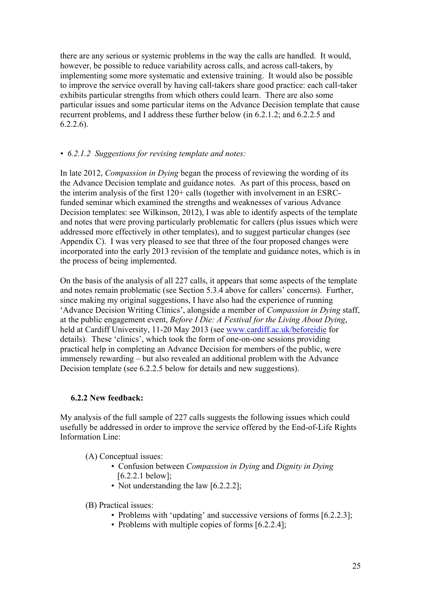there are any serious or systemic problems in the way the calls are handled. It would, however, be possible to reduce variability across calls, and across call-takers, by implementing some more systematic and extensive training. It would also be possible to improve the service overall by having call-takers share good practice: each call-taker exhibits particular strengths from which others could learn. There are also some particular issues and some particular items on the Advance Decision template that cause recurrent problems, and I address these further below (in 6.2.1.2; and 6.2.2.5 and 6.2.2.6).

# *• 6.2.1.2 Suggestions for revising template and notes:*

In late 2012, *Compassion in Dying* began the process of reviewing the wording of its the Advance Decision template and guidance notes. As part of this process, based on the interim analysis of the first 120+ calls (together with involvement in an ESRCfunded seminar which examined the strengths and weaknesses of various Advance Decision templates: see Wilkinson, 2012), I was able to identify aspects of the template and notes that were proving particularly problematic for callers (plus issues which were addressed more effectively in other templates), and to suggest particular changes (see Appendix C). I was very pleased to see that three of the four proposed changes were incorporated into the early 2013 revision of the template and guidance notes, which is in the process of being implemented.

On the basis of the analysis of all 227 calls, it appears that some aspects of the template and notes remain problematic (see Section 5.3.4 above for callers' concerns). Further, since making my original suggestions, I have also had the experience of running 'Advance Decision Writing Clinics', alongside a member of *Compassion in Dying* staff, at the public engagement event, *Before I Die: A Festival for the Living About Dying*, held at Cardiff University, 11-20 May 2013 (see www.cardiff.ac.uk/beforeidie for details). These 'clinics', which took the form of one-on-one sessions providing practical help in completing an Advance Decision for members of the public, were immensely rewarding – but also revealed an additional problem with the Advance Decision template (see 6.2.2.5 below for details and new suggestions).

#### **6.2.2 New feedback:**

My analysis of the full sample of 227 calls suggests the following issues which could usefully be addressed in order to improve the service offered by the End-of-Life Rights Information Line:

- (A) Conceptual issues:
	- Confusion between *Compassion in Dying* and *Dignity in Dying*  $[6.2.2.1$  below];
	- Not understanding the law [6.2.2.2];

(B) Practical issues:

- Problems with 'updating' and successive versions of forms [6.2.2.3];
- Problems with multiple copies of forms [6.2.2.4];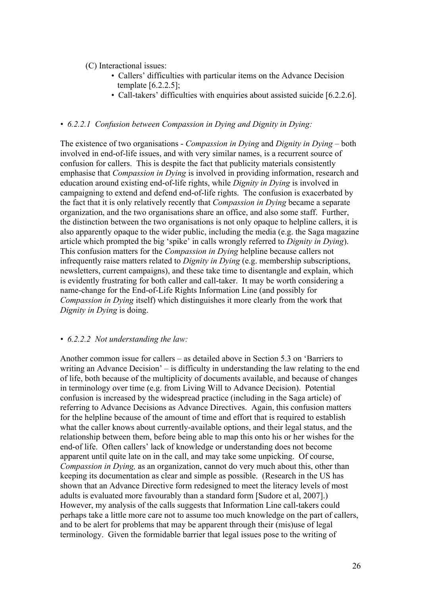(C) Interactional issues:

- Callers' difficulties with particular items on the Advance Decision template [6.2.2.5];
- Call-takers' difficulties with enquiries about assisted suicide [6.2.2.6].

### *• 6.2.2.1 Confusion between Compassion in Dying and Dignity in Dying:*

The existence of two organisations - *Compassion in Dying* and *Dignity in Dying* – both involved in end-of-life issues, and with very similar names, is a recurrent source of confusion for callers. This is despite the fact that publicity materials consistently emphasise that *Compassion in Dying* is involved in providing information, research and education around existing end-of-life rights, while *Dignity in Dying* is involved in campaigning to extend and defend end-of-life rights. The confusion is exacerbated by the fact that it is only relatively recently that *Compassion in Dying* became a separate organization, and the two organisations share an office, and also some staff. Further, the distinction between the two organisations is not only opaque to helpline callers, it is also apparently opaque to the wider public, including the media (e.g. the Saga magazine article which prompted the big 'spike' in calls wrongly referred to *Dignity in Dying*). This confusion matters for the *Compassion in Dying* helpline because callers not infrequently raise matters related to *Dignity in Dying* (e.g. membership subscriptions, newsletters, current campaigns), and these take time to disentangle and explain, which is evidently frustrating for both caller and call-taker. It may be worth considering a name-change for the End-of-Life Rights Information Line (and possibly for *Compassion in Dying* itself) which distinguishes it more clearly from the work that *Dignity in Dying* is doing.

#### *• 6.2.2.2 Not understanding the law:*

Another common issue for callers – as detailed above in Section 5.3 on 'Barriers to writing an Advance Decision' – is difficulty in understanding the law relating to the end of life, both because of the multiplicity of documents available, and because of changes in terminology over time (e.g. from Living Will to Advance Decision). Potential confusion is increased by the widespread practice (including in the Saga article) of referring to Advance Decisions as Advance Directives. Again, this confusion matters for the helpline because of the amount of time and effort that is required to establish what the caller knows about currently-available options, and their legal status, and the relationship between them, before being able to map this onto his or her wishes for the end-of life. Often callers' lack of knowledge or understanding does not become apparent until quite late on in the call, and may take some unpicking. Of course, *Compassion in Dying,* as an organization, cannot do very much about this, other than keeping its documentation as clear and simple as possible. (Research in the US has shown that an Advance Directive form redesigned to meet the literacy levels of most adults is evaluated more favourably than a standard form [Sudore et al, 2007].) However, my analysis of the calls suggests that Information Line call-takers could perhaps take a little more care not to assume too much knowledge on the part of callers, and to be alert for problems that may be apparent through their (mis)use of legal terminology. Given the formidable barrier that legal issues pose to the writing of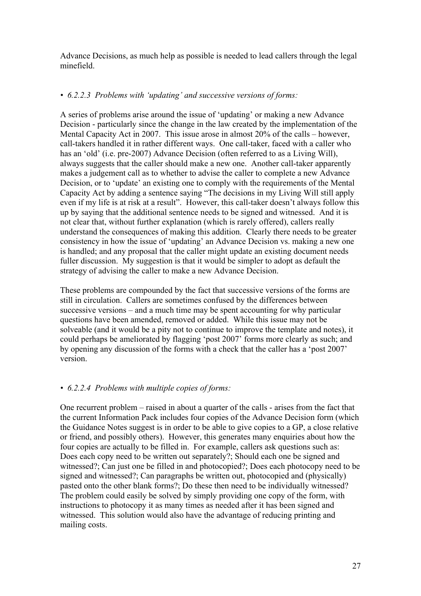Advance Decisions, as much help as possible is needed to lead callers through the legal minefield.

# *• 6.2.2.3 Problems with 'updating' and successive versions of forms:*

A series of problems arise around the issue of 'updating' or making a new Advance Decision - particularly since the change in the law created by the implementation of the Mental Capacity Act in 2007. This issue arose in almost 20% of the calls – however, call-takers handled it in rather different ways. One call-taker, faced with a caller who has an 'old' (i.e. pre-2007) Advance Decision (often referred to as a Living Will), always suggests that the caller should make a new one. Another call-taker apparently makes a judgement call as to whether to advise the caller to complete a new Advance Decision, or to 'update' an existing one to comply with the requirements of the Mental Capacity Act by adding a sentence saying "The decisions in my Living Will still apply even if my life is at risk at a result". However, this call-taker doesn't always follow this up by saying that the additional sentence needs to be signed and witnessed. And it is not clear that, without further explanation (which is rarely offered), callers really understand the consequences of making this addition. Clearly there needs to be greater consistency in how the issue of 'updating' an Advance Decision vs. making a new one is handled; and any proposal that the caller might update an existing document needs fuller discussion. My suggestion is that it would be simpler to adopt as default the strategy of advising the caller to make a new Advance Decision.

These problems are compounded by the fact that successive versions of the forms are still in circulation. Callers are sometimes confused by the differences between successive versions – and a much time may be spent accounting for why particular questions have been amended, removed or added. While this issue may not be solveable (and it would be a pity not to continue to improve the template and notes), it could perhaps be ameliorated by flagging 'post 2007' forms more clearly as such; and by opening any discussion of the forms with a check that the caller has a 'post 2007' version.

# *• 6.2.2.4 Problems with multiple copies of forms:*

One recurrent problem – raised in about a quarter of the calls - arises from the fact that the current Information Pack includes four copies of the Advance Decision form (which the Guidance Notes suggest is in order to be able to give copies to a GP, a close relative or friend, and possibly others). However, this generates many enquiries about how the four copies are actually to be filled in. For example, callers ask questions such as: Does each copy need to be written out separately?; Should each one be signed and witnessed?; Can just one be filled in and photocopied?; Does each photocopy need to be signed and witnessed?; Can paragraphs be written out, photocopied and (physically) pasted onto the other blank forms?; Do these then need to be individually witnessed? The problem could easily be solved by simply providing one copy of the form, with instructions to photocopy it as many times as needed after it has been signed and witnessed. This solution would also have the advantage of reducing printing and mailing costs.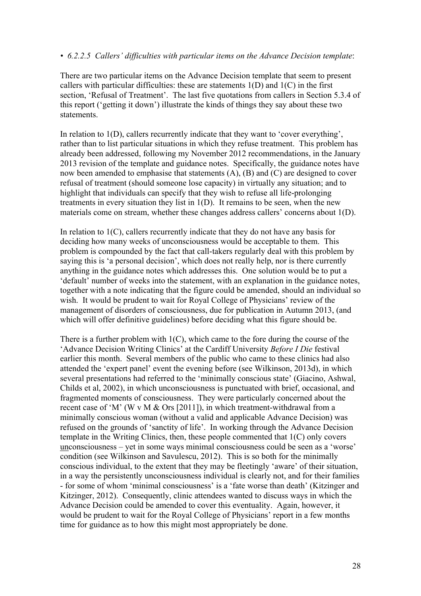#### *• 6.2.2.5 Callers' difficulties with particular items on the Advance Decision template*:

There are two particular items on the Advance Decision template that seem to present callers with particular difficulties: these are statements 1(D) and 1(C) in the first section, 'Refusal of Treatment'. The last five quotations from callers in Section 5.3.4 of this report ('getting it down') illustrate the kinds of things they say about these two statements.

In relation to 1(D), callers recurrently indicate that they want to 'cover everything', rather than to list particular situations in which they refuse treatment. This problem has already been addressed, following my November 2012 recommendations, in the January 2013 revision of the template and guidance notes. Specifically, the guidance notes have now been amended to emphasise that statements (A), (B) and (C) are designed to cover refusal of treatment (should someone lose capacity) in virtually any situation; and to highlight that individuals can specify that they wish to refuse all life-prolonging treatments in every situation they list in 1(D). It remains to be seen, when the new materials come on stream, whether these changes address callers' concerns about 1(D).

In relation to 1(C), callers recurrently indicate that they do not have any basis for deciding how many weeks of unconsciousness would be acceptable to them. This problem is compounded by the fact that call-takers regularly deal with this problem by saying this is 'a personal decision', which does not really help, nor is there currently anything in the guidance notes which addresses this. One solution would be to put a 'default' number of weeks into the statement, with an explanation in the guidance notes, together with a note indicating that the figure could be amended, should an individual so wish. It would be prudent to wait for Royal College of Physicians' review of the management of disorders of consciousness, due for publication in Autumn 2013, (and which will offer definitive guidelines) before deciding what this figure should be.

There is a further problem with 1(C), which came to the fore during the course of the 'Advance Decision Writing Clinics' at the Cardiff University *Before I Die* festival earlier this month. Several members of the public who came to these clinics had also attended the 'expert panel' event the evening before (see Wilkinson, 2013d), in which several presentations had referred to the 'minimally conscious state' (Giacino, Ashwal, Childs et al, 2002), in which unconsciousness is punctuated with brief, occasional, and fragmented moments of consciousness. They were particularly concerned about the recent case of 'M' (W v M & Ors [2011]), in which treatment-withdrawal from a minimally conscious woman (without a valid and applicable Advance Decision) was refused on the grounds of 'sanctity of life'. In working through the Advance Decision template in the Writing Clinics, then, these people commented that 1(C) only covers unconsciousness – yet in some ways minimal consciousness could be seen as a 'worse' condition (see Wilkinson and Savulescu, 2012). This is so both for the minimally conscious individual, to the extent that they may be fleetingly 'aware' of their situation, in a way the persistently unconsciousness individual is clearly not, and for their families - for some of whom 'minimal consciousness' is a 'fate worse than death' (Kitzinger and Kitzinger, 2012). Consequently, clinic attendees wanted to discuss ways in which the Advance Decision could be amended to cover this eventuality. Again, however, it would be prudent to wait for the Royal College of Physicians' report in a few months time for guidance as to how this might most appropriately be done.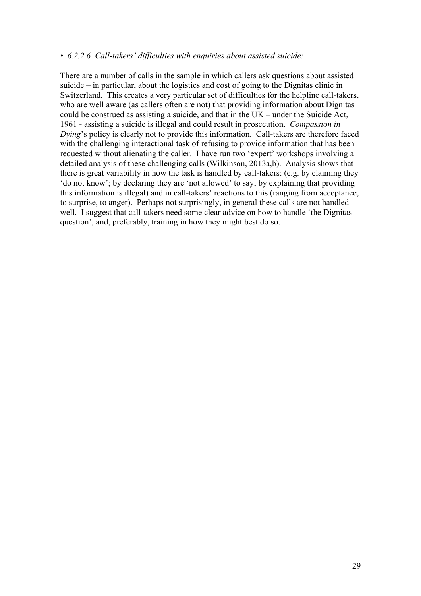#### *• 6.2.2.6 Call-takers' difficulties with enquiries about assisted suicide:*

There are a number of calls in the sample in which callers ask questions about assisted suicide – in particular, about the logistics and cost of going to the Dignitas clinic in Switzerland. This creates a very particular set of difficulties for the helpline call-takers, who are well aware (as callers often are not) that providing information about Dignitas could be construed as assisting a suicide, and that in the UK – under the Suicide Act, 1961 - assisting a suicide is illegal and could result in prosecution. *Compassion in Dying*'s policy is clearly not to provide this information. Call-takers are therefore faced with the challenging interactional task of refusing to provide information that has been requested without alienating the caller. I have run two 'expert' workshops involving a detailed analysis of these challenging calls (Wilkinson, 2013a,b). Analysis shows that there is great variability in how the task is handled by call-takers: (e.g. by claiming they 'do not know'; by declaring they are 'not allowed' to say; by explaining that providing this information is illegal) and in call-takers' reactions to this (ranging from acceptance, to surprise, to anger). Perhaps not surprisingly, in general these calls are not handled well. I suggest that call-takers need some clear advice on how to handle 'the Dignitas question', and, preferably, training in how they might best do so.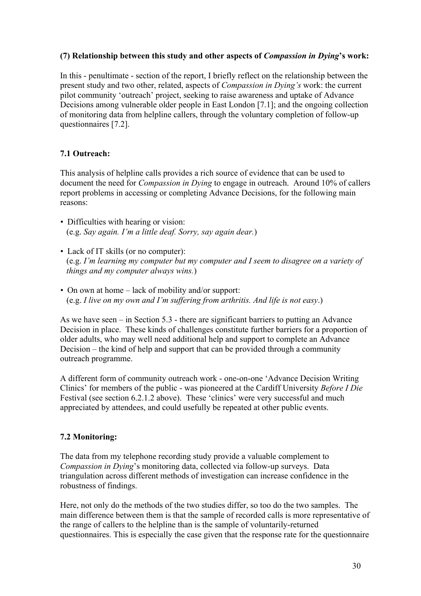# **(7) Relationship between this study and other aspects of** *Compassion in Dying***'s work:**

In this - penultimate - section of the report, I briefly reflect on the relationship between the present study and two other, related, aspects of *Compassion in Dying's* work: the current pilot community 'outreach' project, seeking to raise awareness and uptake of Advance Decisions among vulnerable older people in East London [7.1]; and the ongoing collection of monitoring data from helpline callers, through the voluntary completion of follow-up questionnaires [7.2].

# **7.1 Outreach:**

This analysis of helpline calls provides a rich source of evidence that can be used to document the need for *Compassion in Dying* to engage in outreach. Around 10% of callers report problems in accessing or completing Advance Decisions, for the following main reasons:

- Difficulties with hearing or vision: (e.g. *Say again. I'm a little deaf. Sorry, say again dear.*)
- Lack of IT skills (or no computer): (e.g. *I'm learning my computer but my computer and I seem to disagree on a variety of things and my computer always wins.*)
- On own at home lack of mobility and/or support: (e.g. *I live on my own and I'm suffering from arthritis. And life is not easy*.)

As we have seen – in Section 5.3 - there are significant barriers to putting an Advance Decision in place. These kinds of challenges constitute further barriers for a proportion of older adults, who may well need additional help and support to complete an Advance Decision – the kind of help and support that can be provided through a community outreach programme.

A different form of community outreach work - one-on-one 'Advance Decision Writing Clinics' for members of the public - was pioneered at the Cardiff University *Before I Die* Festival (see section 6.2.1.2 above). These 'clinics' were very successful and much appreciated by attendees, and could usefully be repeated at other public events.

# **7.2 Monitoring:**

The data from my telephone recording study provide a valuable complement to *Compassion in Dying*'s monitoring data, collected via follow-up surveys. Data triangulation across different methods of investigation can increase confidence in the robustness of findings.

Here, not only do the methods of the two studies differ, so too do the two samples. The main difference between them is that the sample of recorded calls is more representative of the range of callers to the helpline than is the sample of voluntarily-returned questionnaires. This is especially the case given that the response rate for the questionnaire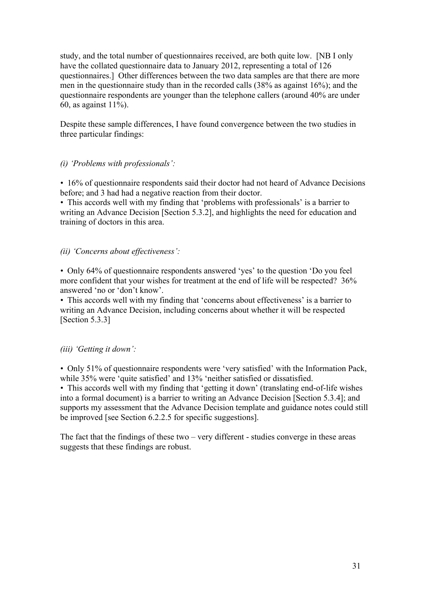study, and the total number of questionnaires received, are both quite low. [NB I only have the collated questionnaire data to January 2012, representing a total of 126 questionnaires.] Other differences between the two data samples are that there are more men in the questionnaire study than in the recorded calls (38% as against 16%); and the questionnaire respondents are younger than the telephone callers (around 40% are under 60, as against  $11\%$ ).

Despite these sample differences, I have found convergence between the two studies in three particular findings:

# *(i) 'Problems with professionals':*

*•* 16% of questionnaire respondents said their doctor had not heard of Advance Decisions before; and 3 had had a negative reaction from their doctor.

*•* This accords well with my finding that 'problems with professionals' is a barrier to writing an Advance Decision [Section 5.3.2], and highlights the need for education and training of doctors in this area.

### *(ii) 'Concerns about effectiveness':*

*•* Only 64% of questionnaire respondents answered 'yes' to the question 'Do you feel more confident that your wishes for treatment at the end of life will be respected? 36% answered 'no or 'don't know'.

*•* This accords well with my finding that 'concerns about effectiveness' is a barrier to writing an Advance Decision, including concerns about whether it will be respected [Section 5.3.3]

# *(iii) 'Getting it down':*

*•* Only 51% of questionnaire respondents were 'very satisfied' with the Information Pack, while 35% were 'quite satisfied' and 13% 'neither satisfied or dissatisfied.

*•* This accords well with my finding that 'getting it down' (translating end-of-life wishes into a formal document) is a barrier to writing an Advance Decision [Section 5.3.4]; and supports my assessment that the Advance Decision template and guidance notes could still be improved [see Section 6.2.2.5 for specific suggestions].

The fact that the findings of these two – very different - studies converge in these areas suggests that these findings are robust.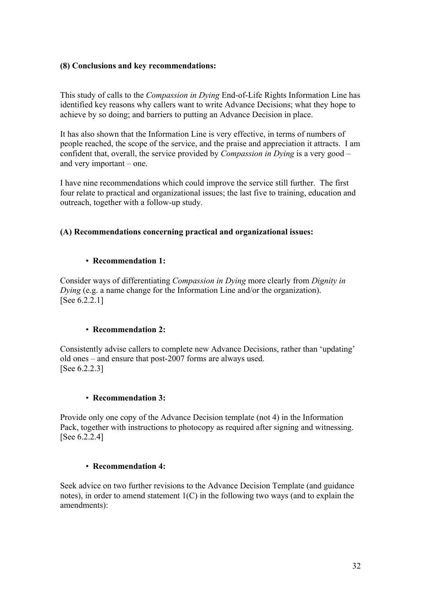## **(8) Conclusions and key recommendations:**

This study of calls to the *Compassion in Dying* End-of-Life Rights Information Line has identified key reasons why callers want to write Advance Decisions; what they hope to achieve by so doing; and barriers to putting an Advance Decision in place.

It has also shown that the Information Line is very effective, in terms of numbers of people reached, the scope of the service, and the praise and appreciation it attracts. I am confident that, overall, the service provided by *Compassion in Dying* is a very good – and very important – one.

I have nine recommendations which could improve the service still further. The first four relate to practical and organizational issues; the last five to training, education and outreach, together with a follow-up study.

# **(A) Recommendations concerning practical and organizational issues:**

### *•* **Recommendation 1:**

Consider ways of differentiating *Compassion in Dying* more clearly from *Dignity in Dying* (e.g. a name change for the Information Line and/or the organization). [See 6.2.2.1]

#### *•* **Recommendation 2:**

Consistently advise callers to complete new Advance Decisions, rather than 'updating' old ones – and ensure that post-2007 forms are always used. [See 6.2.2.3]

#### *•* **Recommendation 3:**

Provide only one copy of the Advance Decision template (not 4) in the Information Pack, together with instructions to photocopy as required after signing and witnessing. [See 6.2.2.4]

#### *•* **Recommendation 4:**

Seek advice on two further revisions to the Advance Decision Template (and guidance notes), in order to amend statement 1(C) in the following two ways (and to explain the amendments):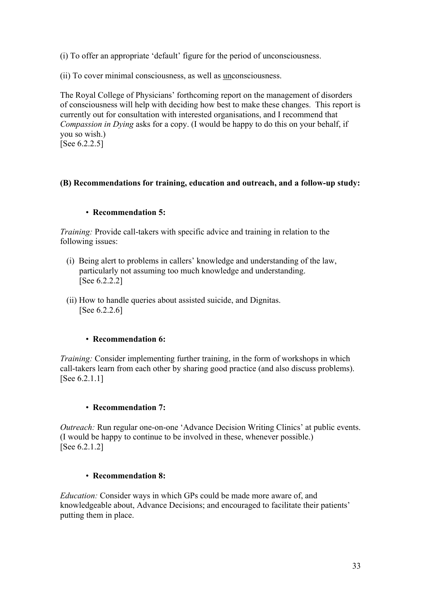(i) To offer an appropriate 'default' figure for the period of unconsciousness.

(ii) To cover minimal consciousness, as well as unconsciousness.

The Royal College of Physicians' forthcoming report on the management of disorders of consciousness will help with deciding how best to make these changes. This report is currently out for consultation with interested organisations, and I recommend that *Compassion in Dying* asks for a copy. (I would be happy to do this on your behalf, if you so wish.) [See 6.2.2.5]

# **(B) Recommendations for training, education and outreach, and a follow-up study:**

# *•* **Recommendation 5:**

*Training:* Provide call-takers with specific advice and training in relation to the following issues:

- (i) Being alert to problems in callers' knowledge and understanding of the law, particularly not assuming too much knowledge and understanding. [See 6.2.2.2]
- (ii) How to handle queries about assisted suicide, and Dignitas. [See 6.2.2.6]

# *•* **Recommendation 6:**

*Training:* Consider implementing further training, in the form of workshops in which call-takers learn from each other by sharing good practice (and also discuss problems). [See 6.2.1.1]

# *•* **Recommendation 7:**

*Outreach:* Run regular one-on-one 'Advance Decision Writing Clinics' at public events. (I would be happy to continue to be involved in these, whenever possible.) [See 6.2.1.2]

# *•* **Recommendation 8:**

*Education:* Consider ways in which GPs could be made more aware of, and knowledgeable about, Advance Decisions; and encouraged to facilitate their patients' putting them in place.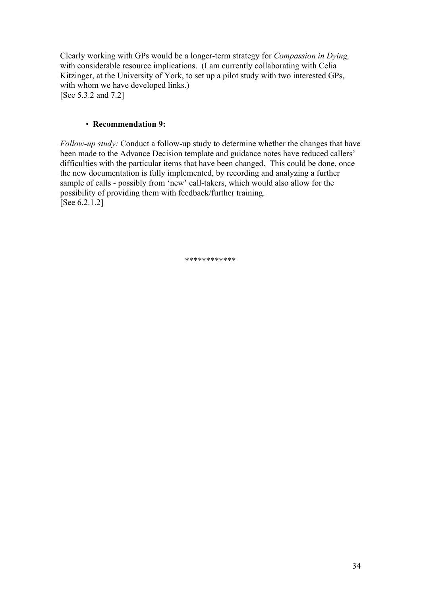Clearly working with GPs would be a longer-term strategy for *Compassion in Dying,*  with considerable resource implications. (I am currently collaborating with Celia Kitzinger, at the University of York, to set up a pilot study with two interested GPs, with whom we have developed links.) [See 5.3.2 and 7.2]

# *•* **Recommendation 9:**

*Follow-up study:* Conduct a follow-up study to determine whether the changes that have been made to the Advance Decision template and guidance notes have reduced callers' difficulties with the particular items that have been changed. This could be done, once the new documentation is fully implemented, by recording and analyzing a further sample of calls - possibly from 'new' call-takers, which would also allow for the possibility of providing them with feedback/further training. [See 6.2.1.2]

\*\*\*\*\*\*\*\*\*\*\*\*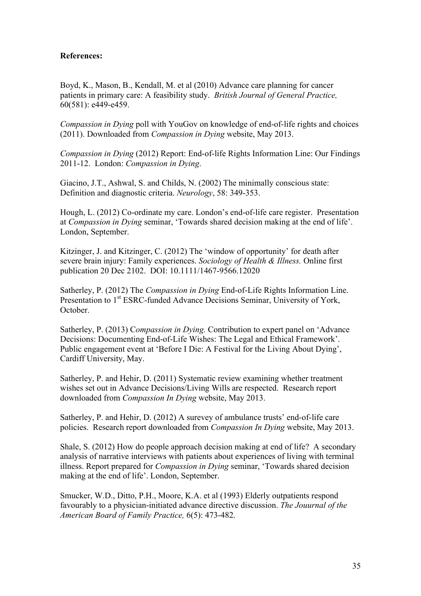# **References:**

Boyd, K., Mason, B., Kendall, M. et al (2010) Advance care planning for cancer patients in primary care: A feasibility study. *British Journal of General Practice,*  60(581): e449-e459.

*Compassion in Dying* poll with YouGov on knowledge of end-of-life rights and choices (2011). Downloaded from *Compassion in Dying* website, May 2013.

*Compassion in Dying* (2012) Report: End-of-life Rights Information Line: Our Findings 2011-12. London: *Compassion in Dying*.

Giacino, J.T., Ashwal, S. and Childs, N. (2002) The minimally conscious state: Definition and diagnostic criteria. *Neurology*, 58: 349-353.

Hough, L. (2012) Co-ordinate my care. London's end-of-life care register. Presentation at *Compassion in Dying* seminar, 'Towards shared decision making at the end of life'. London, September.

Kitzinger, J. and Kitzinger, C. (2012) The 'window of opportunity' for death after severe brain injury: Family experiences. *Sociology of Health & Illness.* Online first publication 20 Dec 2102. DOI: 10.1111/1467-9566.12020

Satherley, P. (2012) The *Compassion in Dying* End-of-Life Rights Information Line. Presentation to 1<sup>st</sup> ESRC-funded Advance Decisions Seminar, University of York, October.

Satherley, P. (2013) C*ompassion in Dying.* Contribution to expert panel on 'Advance Decisions: Documenting End-of-Life Wishes: The Legal and Ethical Framework'. Public engagement event at 'Before I Die: A Festival for the Living About Dying', Cardiff University, May.

Satherley, P. and Hehir, D. (2011) Systematic review examining whether treatment wishes set out in Advance Decisions/Living Wills are respected. Research report downloaded from *Compassion In Dying* website, May 2013.

Satherley, P. and Hehir, D. (2012) A surevey of ambulance trusts' end-of-life care policies. Research report downloaded from *Compassion In Dying* website, May 2013.

Shale, S. (2012) How do people approach decision making at end of life? A secondary analysis of narrative interviews with patients about experiences of living with terminal illness. Report prepared for *Compassion in Dying* seminar, 'Towards shared decision making at the end of life'. London, September.

Smucker, W.D., Ditto, P.H., Moore, K.A. et al (1993) Elderly outpatients respond favourably to a physician-initiated advance directive discussion. *The Jouurnal of the American Board of Family Practice,* 6(5): 473-482.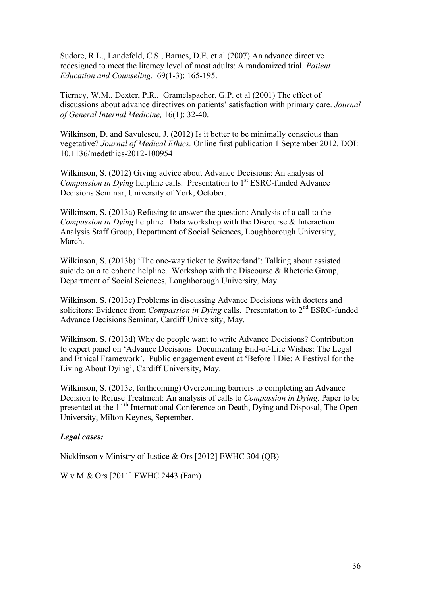Sudore, R.L., Landefeld, C.S., Barnes, D.E. et al (2007) An advance directive redesigned to meet the literacy level of most adults: A randomized trial. *Patient Education and Counseling.* 69(1-3): 165-195.

Tierney, W.M., Dexter, P.R., Gramelspacher, G.P. et al (2001) The effect of discussions about advance directives on patients' satisfaction with primary care. *Journal of General Internal Medicine,* 16(1): 32-40.

Wilkinson, D. and Savulescu, J. (2012) Is it better to be minimally conscious than vegetative? *Journal of Medical Ethics.* Online first publication 1 September 2012. DOI: 10.1136/medethics-2012-100954

Wilkinson, S. (2012) Giving advice about Advance Decisions: An analysis of *Compassion in Dying helpline calls.* Presentation to 1<sup>st</sup> ESRC-funded Advance Decisions Seminar, University of York, October.

Wilkinson, S. (2013a) Refusing to answer the question: Analysis of a call to the *Compassion in Dying* helpline. Data workshop with the Discourse & Interaction Analysis Staff Group, Department of Social Sciences, Loughborough University, March.

Wilkinson, S. (2013b) 'The one-way ticket to Switzerland': Talking about assisted suicide on a telephone helpline. Workshop with the Discourse & Rhetoric Group, Department of Social Sciences, Loughborough University, May.

Wilkinson, S. (2013c) Problems in discussing Advance Decisions with doctors and solicitors: Evidence from *Compassion in Dying* calls. Presentation to 2<sup>nd</sup> ESRC-funded Advance Decisions Seminar, Cardiff University, May.

Wilkinson, S. (2013d) Why do people want to write Advance Decisions? Contribution to expert panel on 'Advance Decisions: Documenting End-of-Life Wishes: The Legal and Ethical Framework'. Public engagement event at 'Before I Die: A Festival for the Living About Dying', Cardiff University, May.

Wilkinson, S. (2013e, forthcoming) Overcoming barriers to completing an Advance Decision to Refuse Treatment: An analysis of calls to *Compassion in Dying*. Paper to be presented at the 11<sup>th</sup> International Conference on Death, Dying and Disposal, The Open University, Milton Keynes, September.

#### *Legal cases:*

Nicklinson v Ministry of Justice & Ors [2012] EWHC 304 (QB)

W v M & Ors [2011] EWHC 2443 (Fam)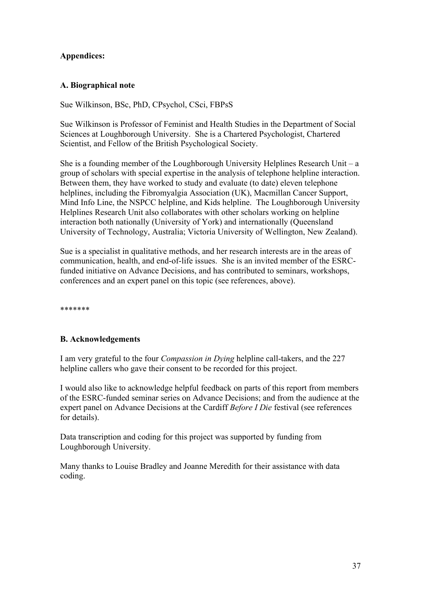# **Appendices:**

# **A. Biographical note**

Sue Wilkinson, BSc, PhD, CPsychol, CSci, FBPsS

Sue Wilkinson is Professor of Feminist and Health Studies in the Department of Social Sciences at Loughborough University. She is a Chartered Psychologist, Chartered Scientist, and Fellow of the British Psychological Society.

She is a founding member of the Loughborough University Helplines Research Unit – a group of scholars with special expertise in the analysis of telephone helpline interaction. Between them, they have worked to study and evaluate (to date) eleven telephone helplines, including the Fibromyalgia Association (UK), Macmillan Cancer Support, Mind Info Line, the NSPCC helpline, and Kids helpline. The Loughborough University Helplines Research Unit also collaborates with other scholars working on helpline interaction both nationally (University of York) and internationally (Queensland University of Technology, Australia; Victoria University of Wellington, New Zealand).

Sue is a specialist in qualitative methods, and her research interests are in the areas of communication, health, and end-of-life issues. She is an invited member of the ESRCfunded initiative on Advance Decisions, and has contributed to seminars, workshops, conferences and an expert panel on this topic (see references, above).

\*\*\*\*\*\*\*

# **B. Acknowledgements**

I am very grateful to the four *Compassion in Dying* helpline call-takers, and the 227 helpline callers who gave their consent to be recorded for this project.

I would also like to acknowledge helpful feedback on parts of this report from members of the ESRC-funded seminar series on Advance Decisions; and from the audience at the expert panel on Advance Decisions at the Cardiff *Before I Die* festival (see references for details).

Data transcription and coding for this project was supported by funding from Loughborough University.

Many thanks to Louise Bradley and Joanne Meredith for their assistance with data coding.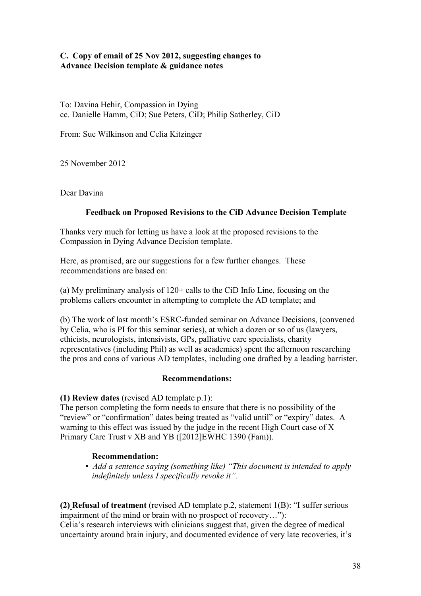# **C. Copy of email of 25 Nov 2012, suggesting changes to Advance Decision template & guidance notes**

To: Davina Hehir, Compassion in Dying cc. Danielle Hamm, CiD; Sue Peters, CiD; Philip Satherley, CiD

From: Sue Wilkinson and Celia Kitzinger

25 November 2012

Dear Davina

# **Feedback on Proposed Revisions to the CiD Advance Decision Template**

Thanks very much for letting us have a look at the proposed revisions to the Compassion in Dying Advance Decision template.

Here, as promised, are our suggestions for a few further changes. These recommendations are based on:

(a) My preliminary analysis of 120+ calls to the CiD Info Line, focusing on the problems callers encounter in attempting to complete the AD template; and

(b) The work of last month's ESRC-funded seminar on Advance Decisions, (convened by Celia, who is PI for this seminar series), at which a dozen or so of us (lawyers, ethicists, neurologists, intensivists, GPs, palliative care specialists, charity representatives (including Phil) as well as academics) spent the afternoon researching the pros and cons of various AD templates, including one drafted by a leading barrister.

#### **Recommendations:**

**(1) Review dates** (revised AD template p.1):

The person completing the form needs to ensure that there is no possibility of the "review" or "confirmation" dates being treated as "valid until" or "expiry" dates. A warning to this effect was issued by the judge in the recent High Court case of X Primary Care Trust v XB and YB ([2012]EWHC 1390 (Fam)).

# **Recommendation:**

• *Add a sentence saying (something like) "This document is intended to apply indefinitely unless I specifically revoke it".*

**(2) Refusal of treatment** (revised AD template p.2, statement 1(B): "I suffer serious impairment of the mind or brain with no prospect of recovery…"):

Celia's research interviews with clinicians suggest that, given the degree of medical uncertainty around brain injury, and documented evidence of very late recoveries, it's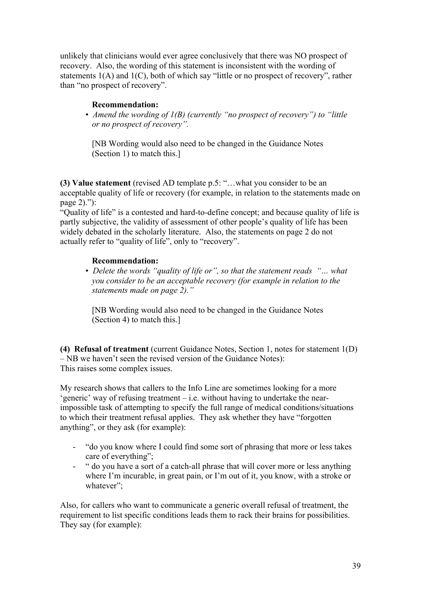unlikely that clinicians would ever agree conclusively that there was NO prospect of recovery. Also, the wording of this statement is inconsistent with the wording of statements 1(A) and 1(C), both of which say "little or no prospect of recovery", rather than "no prospect of recovery".

# **Recommendation:**

• *Amend the wording of 1(B) (currently "no prospect of recovery") to "little or no prospect of recovery".*

 [NB Wording would also need to be changed in the Guidance Notes (Section 1) to match this.]

**(3) Value statement** (revised AD template p.5: "…what you consider to be an acceptable quality of life or recovery (for example, in relation to the statements made on page 2)."):

"Quality of life" is a contested and hard-to-define concept; and because quality of life is partly subjective, the validity of assessment of other people's quality of life has been widely debated in the scholarly literature. Also, the statements on page 2 do not actually refer to "quality of life", only to "recovery".

# **Recommendation:**

• *Delete the words "quality of life or", so that the statement reads "… what you consider to be an acceptable recovery (for example in relation to the statements made on page 2)."*

 [NB Wording would also need to be changed in the Guidance Notes (Section 4) to match this.]

**(4) Refusal of treatment** (current Guidance Notes, Section 1, notes for statement 1(D) – NB we haven't seen the revised version of the Guidance Notes): This raises some complex issues.

My research shows that callers to the Info Line are sometimes looking for a more 'generic' way of refusing treatment – i.e. without having to undertake the nearimpossible task of attempting to specify the full range of medical conditions/situations to which their treatment refusal applies. They ask whether they have "forgotten anything", or they ask (for example):

- "do you know where I could find some sort of phrasing that more or less takes care of everything";
- " do you have a sort of a catch-all phrase that will cover more or less anything where I'm incurable, in great pain, or I'm out of it, you know, with a stroke or whatever";

Also, for callers who want to communicate a generic overall refusal of treatment, the requirement to list specific conditions leads them to rack their brains for possibilities. They say (for example):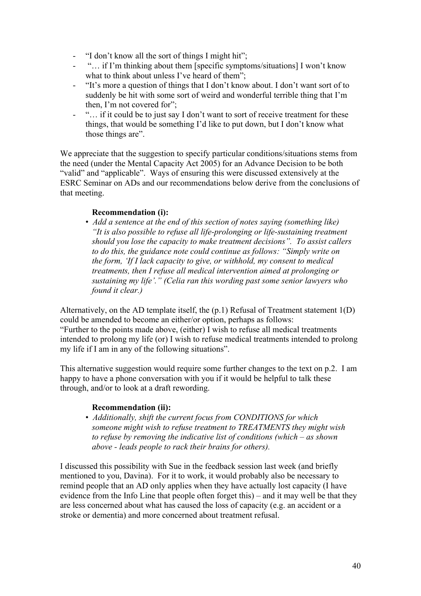- "I don't know all the sort of things I might hit";
- "… if I'm thinking about them [specific symptoms/situations] I won't know what to think about unless I've heard of them";
- "It's more a question of things that I don't know about. I don't want sort of to suddenly be hit with some sort of weird and wonderful terrible thing that I'm then, I'm not covered for";
- "... if it could be to just say I don't want to sort of receive treatment for these things, that would be something I'd like to put down, but I don't know what those things are".

We appreciate that the suggestion to specify particular conditions/situations stems from the need (under the Mental Capacity Act 2005) for an Advance Decision to be both "valid" and "applicable". Ways of ensuring this were discussed extensively at the ESRC Seminar on ADs and our recommendations below derive from the conclusions of that meeting.

### **Recommendation (i):**

• *Add a sentence at the end of this section of notes saying (something like) "It is also possible to refuse all life-prolonging or life-sustaining treatment should you lose the capacity to make treatment decisions". To assist callers to do this, the guidance note could continue as follows: "Simply write on the form, 'If I lack capacity to give, or withhold, my consent to medical treatments, then I refuse all medical intervention aimed at prolonging or sustaining my life'." (Celia ran this wording past some senior lawyers who found it clear.)*

Alternatively, on the AD template itself, the (p.1) Refusal of Treatment statement 1(D) could be amended to become an either/or option, perhaps as follows: "Further to the points made above, (either) I wish to refuse all medical treatments intended to prolong my life (or) I wish to refuse medical treatments intended to prolong my life if I am in any of the following situations".

This alternative suggestion would require some further changes to the text on p.2. I am happy to have a phone conversation with you if it would be helpful to talk these through, and/or to look at a draft rewording.

# **Recommendation (ii):**

• *Additionally, shift the current focus from CONDITIONS for which someone might wish to refuse treatment to TREATMENTS they might wish to refuse by removing the indicative list of conditions (which – as shown above - leads people to rack their brains for others).*

I discussed this possibility with Sue in the feedback session last week (and briefly mentioned to you, Davina). For it to work, it would probably also be necessary to remind people that an AD only applies when they have actually lost capacity (I have evidence from the Info Line that people often forget this) – and it may well be that they are less concerned about what has caused the loss of capacity (e.g. an accident or a stroke or dementia) and more concerned about treatment refusal.